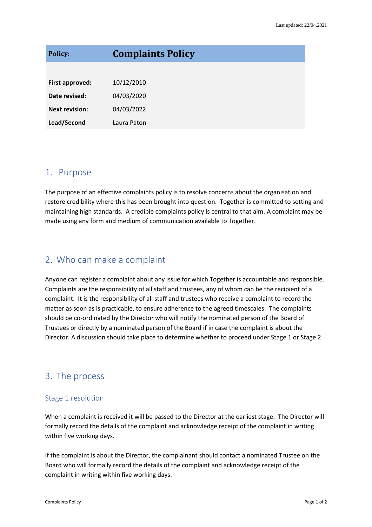| <b>Policy:</b>        | <b>Complaints Policy</b> |
|-----------------------|--------------------------|
|                       |                          |
| First approved:       | 10/12/2010               |
| Date revised:         | 04/03/2020               |
| <b>Next revision:</b> | 04/03/2022               |
| Lead/Second           | Laura Paton              |

### 1. Purpose

The purpose of an effective complaints policy is to resolve concerns about the organisation and restore credibility where this has been brought into question. Together is committed to setting and maintaining high standards. A credible complaints policy is central to that aim. A complaint may be made using any form and medium of communication available to Together.

# 2. Who can make a complaint

Anyone can register a complaint about any issue for which Together is accountable and responsible. Complaints are the responsibility of all staff and trustees, any of whom can be the recipient of a complaint. It is the responsibility of all staff and trustees who receive a complaint to record the matter as soon as is practicable, to ensure adherence to the agreed timescales. The complaints should be co-ordinated by the Director who will notify the nominated person of the Board of Trustees or directly by a nominated person of the Board if in case the complaint is about the Director. A discussion should take place to determine whether to proceed under Stage 1 or Stage 2.

# 3. The process

#### Stage 1 resolution

When a complaint is received it will be passed to the Director at the earliest stage. The Director will formally record the details of the complaint and acknowledge receipt of the complaint in writing within five working days.

If the complaint is about the Director, the complainant should contact a nominated Trustee on the Board who will formally record the details of the complaint and acknowledge receipt of the complaint in writing within five working days.